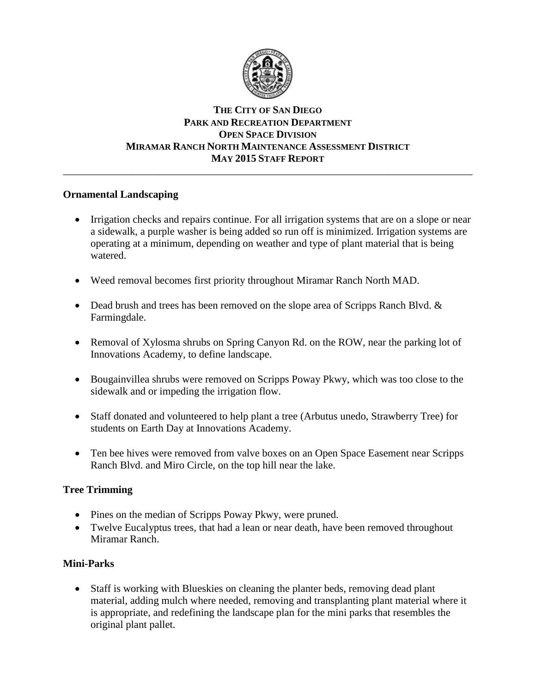

### **THE CITY OF SAN DIEGO PARK AND RECREATION DEPARTMENT OPEN SPACE DIVISION MIRAMAR RANCH NORTH MAINTENANCE ASSESSMENT DISTRICT MAY 2015 STAFF REPORT**

\_\_\_\_\_\_\_\_\_\_\_\_\_\_\_\_\_\_\_\_\_\_\_\_\_\_\_\_\_\_\_\_\_\_\_\_\_\_\_\_\_\_\_\_\_\_\_\_\_\_\_\_\_\_\_\_\_\_\_\_\_\_\_\_\_\_\_\_\_\_\_\_\_\_\_\_\_\_

### **Ornamental Landscaping**

- Irrigation checks and repairs continue. For all irrigation systems that are on a slope or near a sidewalk, a purple washer is being added so run off is minimized. Irrigation systems are operating at a minimum, depending on weather and type of plant material that is being watered.
- Weed removal becomes first priority throughout Miramar Ranch North MAD.
- Dead brush and trees has been removed on the slope area of Scripps Ranch Blvd. & Farmingdale.
- Removal of Xylosma shrubs on Spring Canyon Rd. on the ROW, near the parking lot of Innovations Academy, to define landscape.
- Bougainvillea shrubs were removed on Scripps Poway Pkwy, which was too close to the sidewalk and or impeding the irrigation flow.
- Staff donated and volunteered to help plant a tree (Arbutus unedo, Strawberry Tree) for students on Earth Day at Innovations Academy.
- Ten bee hives were removed from valve boxes on an Open Space Easement near Scripps Ranch Blvd. and Miro Circle, on the top hill near the lake.

### **Tree Trimming**

- Pines on the median of Scripps Poway Pkwy, were pruned.
- Twelve Eucalyptus trees, that had a lean or near death, have been removed throughout Miramar Ranch.

# **Mini-Parks**

 Staff is working with Blueskies on cleaning the planter beds, removing dead plant material, adding mulch where needed, removing and transplanting plant material where it is appropriate, and redefining the landscape plan for the mini parks that resembles the original plant pallet.